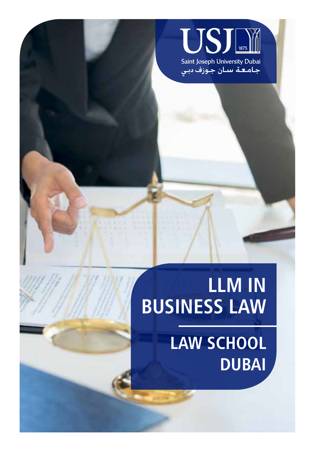

# **LLM IN BUSINESS LAW**

 **LAW SCHOOL DUBAI**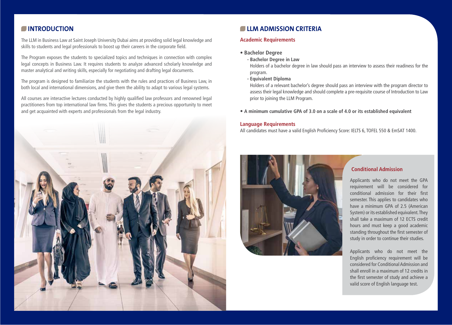### **INTRODUCTION**

The LLM in Business Law at Saint Joseph University Dubai aims at providing solid legal knowledge and skills to students and legal professionals to boost up their careers in the corporate field.

The Program exposes the students to specialized topics and techniques in connection with complex legal concepts in Business Law. It requires students to analyze advanced scholarly knowledge and master analytical and writing skills, especially for negotiating and drafting legal documents.

The program is designed to familiarize the students with the rules and practices of Business Law, in both local and international dimensions, and give them the ability to adapt to various legal systems.

All courses are interactive lectures conducted by highly qualified law professors and renowned legal practitioners from top international law firms. This gives the students a precious opportunity to meet and get acquainted with experts and professionals from the legal industry.



#### **CLLM ADMISSION CRITERIA**

#### **Academic Requirements**

- **Bachelor Degree**
	- **Bachelor Degree in Law**

Holders of a bachelor degree in law should pass an interview to assess their readiness for the program.

**- Equivalent Diploma**

Holders of a relevant bachelor's degree should pass an interview with the program director to assess their legal knowledge and should complete a pre-requisite course of Introduction to Law prior to joining the LLM Program.

**• A minimum cumulative GPA of 3.0 on a scale of 4.0 or its established equivalent**

#### **Language Requirements**

All candidates must have a valid English Proficiency Score: IELTS 6, TOFEL 550 & EmSAT 1400.



#### **Conditional Admission**

Applicants who do not meet the GPA requirement will be considered for conditional admission for their first semester. This applies to candidates who have a minimum GPA of 2.5 (American System) or its established equivalent. They shall take a maximum of 12 ECTS credit hours and must keep a good academic standing throughout the first semester of study in order to continue their studies.

Applicants who do not meet the English proficiency requirement will be considered for Conditional Admission and shall enroll in a maximum of 12 credits in the first semester of study and achieve a valid score of English language test.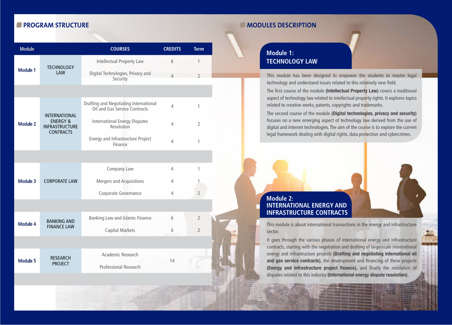#### **PROGRAM STRUCTURE**

| <b>Module</b>   |                                                                                          | <b>COURSES</b>                                                          | <b>CREDITS</b> | <b>Term</b>    |
|-----------------|------------------------------------------------------------------------------------------|-------------------------------------------------------------------------|----------------|----------------|
| <b>Module 1</b> | <b>TECHNOLOGY</b><br><b>LAW</b>                                                          | Intellectual Property Law                                               | 6              | 1              |
|                 |                                                                                          | Digital Technologies, Privacy and<br>Security                           | $\overline{4}$ | $\mathcal{P}$  |
|                 |                                                                                          |                                                                         |                |                |
| <b>Module 2</b> | <b>INTERNATIONAL</b><br><b>ENERGY &amp;</b><br><b>INFRASTRUCTURE</b><br><b>CONTRACTS</b> | Drafting and Negotiating International<br>Oil and Gas Service Contracts | $\overline{4}$ | 1              |
|                 |                                                                                          | <b>International Energy Disputes</b><br>Resolution                      | 4              | $\overline{2}$ |
|                 |                                                                                          | <b>Energy and Infrastructure Project</b><br>Finance                     | 4              | 1              |
|                 |                                                                                          |                                                                         |                |                |
| <b>Module 3</b> | <b>CORPORATE LAW</b>                                                                     | Company Law                                                             | 4              | 1              |
|                 |                                                                                          | <b>Mergers and Acquisitions</b>                                         | 4              | 1              |
|                 |                                                                                          | Corporate Governance                                                    | 4              | $\overline{2}$ |
|                 |                                                                                          |                                                                         |                |                |
| <b>Module 4</b> | <b>BANKING AND</b><br><b>FINANCE LAW</b>                                                 | Banking Law and Islamic Finance                                         | 6              | $\overline{2}$ |
|                 |                                                                                          | <b>Capital Markets</b>                                                  | 6              | $\mathcal{P}$  |
|                 |                                                                                          |                                                                         |                |                |
| Module 5        | <b>RESEARCH</b><br><b>PROJECT</b>                                                        | Academic Research                                                       | 14             |                |
|                 |                                                                                          | <b>Professional Research</b>                                            |                |                |
|                 |                                                                                          |                                                                         |                |                |

#### **MODULES DESCRIPTION**

# **Module 1: TECHNOLOGY LAW**

This module has been designed to empower the students to master legal technology and understand issues related to this relatively new field.

The first course of the module **(Intellectual Property Law)** covers a traditional aspect of technology law related to intellectual property rights. It explores topics related to creative works, patents, copyrights and trademarks.

The second course of the module **(Digital technologies, privacy and security)** focuses on a new emerging aspect of technology law derived from the use of digital and internet technologies. The aim of the course is to explore the current legal framework dealing with digital rights, data protection and cybercrimes.

## **Module 2: INTERNATIONAL ENERGY AND INFRASTRUCTURE CONTRACTS**

This module is about international transactions in the energy and infrastructure sector.

It goes through the various phases of international energy and infrastructure contracts, starting with the negotiation and drafting of large-scale international energy and infrastructure projects **(Drafting and negotiating international oil and gas service contracts)**, the development and financing of these projects **(Energy and infrastructure project finance),** and finally the resolution of disputes related to this industry **(International energy dispute resolution).**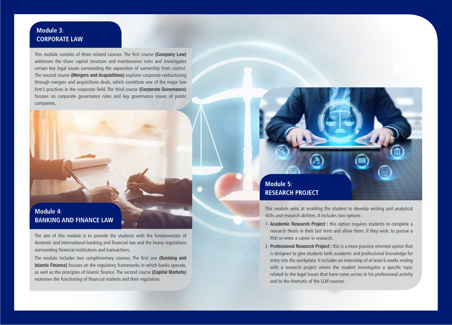## **Module 3: CORPORATE LAW**

This module consists of three related courses. The first course **(Company Law)** addresses the share capital structure and maintenance rules and investigates certain key legal issues surrounding the separation of ownership from control. The second course **(Mergers and Acquisitions)** explores corporate restructuring through mergers and acquisitions deals, which constitute one of the major law firm's practices in the corporate field. The third course **(Corporate Governance)** focuses on corporate governance rules and key governance issues of public companies.

# **Module 4: BANKING AND FINANCE LAW**

The aim of this module is to provide the students with the fundamentals of domestic and international banking and financial law and the heavy regulations surrounding financial institutions and transactions.

The module includes two complimentary courses. The first one **(Banking and Islamic Finance)** focuses on the regulatory frameworks in which banks operate, as well as the principles of Islamic finance. The second course **(Capital Markets)** examines the functioning of financial markets and their regulation.



This module aims at enabling the student to develop writing and analytical skills and research abilities. It includes two options :

- 1- **Academic Research Project :** this option requires students to complete a research thesis in their last term and allow them, if they wish, to pursue a PhD or enter a career in research.
- 2- **Professional Research Project :** this is a more practice oriented option that is designed to give students both academic and professional knowledge for entry into the workplace. It includes an internship of at least 6 weeks ending with a research project where the student investigates a specific topic related to the legal issues that have come across in his professional activity and to the thematic of the LLM courses.